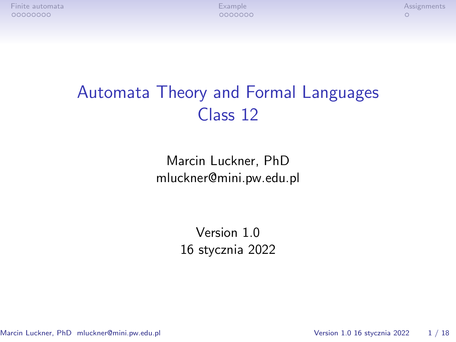# Automata Theory and Formal Languages Class 12

Marcin Luckner, PhD mluckner@mini.pw.edu.pl

> Version 1.0 16 stycznia 2022

Marcin Luckner, PhD mluckner@mini.pw.edu.pl Version 1.0 16 stycznia 2022 1 / 18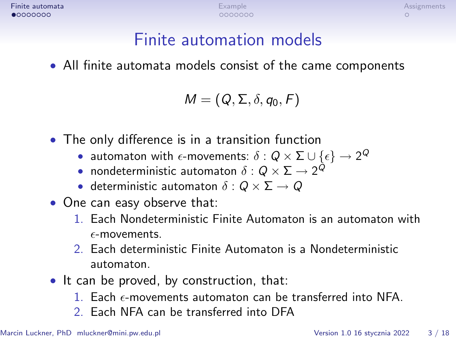# Finite automation models

<span id="page-1-0"></span>• All finite automata models consist of the came components

$$
\mathit{M}=(\mathit{Q},\Sigma,\delta,q_0,\mathit{F})
$$

- The only difference is in a transition function
	- $\bullet$  automaton with  $\epsilon$ -movements:  $\delta:Q\times \Sigma\cup\{\epsilon\}\rightarrow 2^Q$
	- nondeterministic automaton *δ* : Q *×* Σ *→* 2 Q
	- deterministic automaton *δ* : Q *×* Σ *→* Q
- One can easy observe that:
	- 1. Each Nondeterministic Finite Automaton is an automaton with  $\epsilon$ -movements.
	- 2. Each deterministic Finite Automaton is a Nondeterministic automaton.
- It can be proved, by construction, that:
	- 1. Each  $\epsilon$ -movements automaton can be transferred into NFA.
	- 2. Each NFA can be transferred into DFA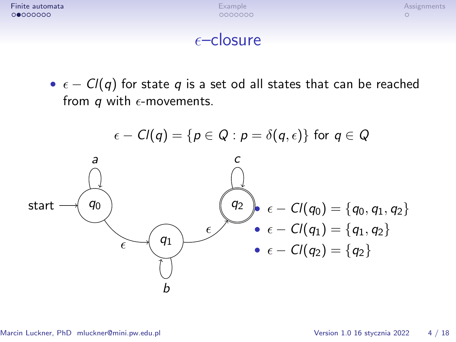**[Finite automata](#page-1-0)** Assignments Assignments and [Example](#page-9-0) [Assignments](#page-16-0) and Assignments Assignments Assignments and Assignments Assignments and Assignments and Assignments and Assignments and Assignments and Assignments and Assi

#### $\epsilon$ –closure

•  $\epsilon$  – Cl(q) for state q is a set od all states that can be reached from q with  $\epsilon$ -movements.

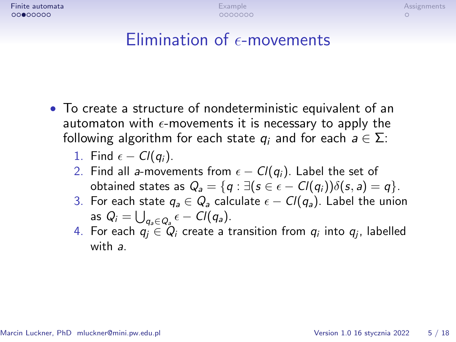**[Finite automata](#page-1-0)** Assignments Assignments and [Example](#page-9-0) [Assignments](#page-16-0) and Assignments Assignments Assignments and Assignments Assignments and Assignments and Assignments and Assignments and Assignments and Assignments and Assi

# $Elimination of  $\epsilon$ -moves$

- To create a structure of nondeterministic equivalent of an automaton with  $\epsilon$ -movements it is necessary to apply the following algorithm for each state  $q_i$  and for each  $a \in \Sigma$ :
	- 1. Find  $\epsilon Cl(q_i)$ .
	- 2. Find all a-movements from  $\epsilon Cl(q_i)$ . Label the set of obtained states as  $Q_a = \{q : \exists (s \in \epsilon - Cl(q_i))\delta(s, a) = q\}.$
	- 3. For each state  $q_a \in Q_a$  calculate  $\epsilon Cl(q_a)$ . Label the union as  $Q_i = \bigcup_{q_a \in Q_a} \epsilon - Cl(q_a).$
	- 4. For each  $q_j ∈ Q_i$  create a transition from  $q_i$  into  $q_j$ , labelled with a.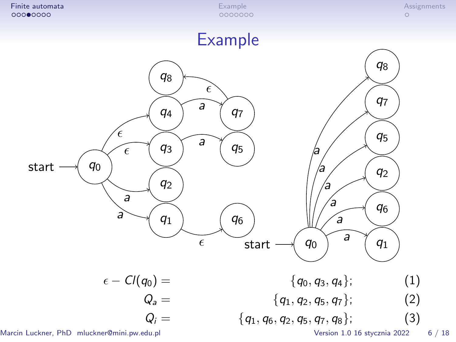

Marcin Luckner, PhD mluckner@mini.pw.edu.pl Version 1.0 16 stycznia 2022 6 / 18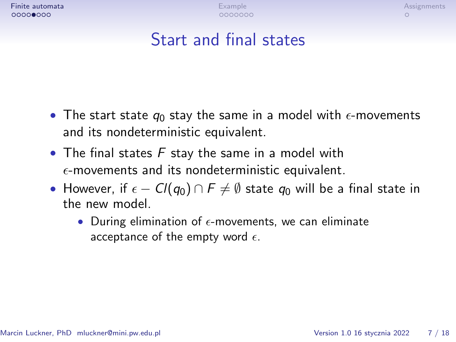**[Finite automata](#page-1-0)** Assignments Assignments and [Example](#page-9-0) [Assignments](#page-16-0) and Assignments Assignments Assignments and Assignments Assignments and Assignments and Assignments and Assignments and Assignments and Assignments and Assi

# Start and final states

- The start state  $q_0$  stay the same in a model with  $\epsilon$ -movements and its nondeterministic equivalent.
- The final states  $F$  stay the same in a model with  $\epsilon$ -movements and its nondeterministic equivalent.
- However, if *−* Cl(q0) *∩* F *6*= *∅* state q<sup>0</sup> will be a final state in the new model.
	- During elimination of  $\epsilon$ -movements, we can eliminate acceptance of the empty word  $\epsilon$ .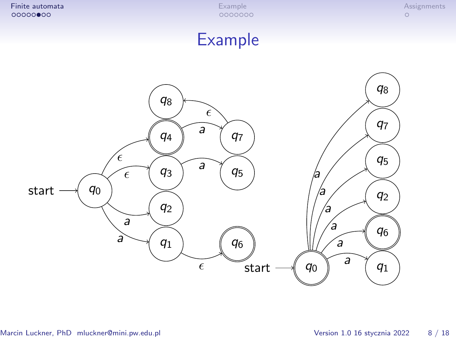### Example

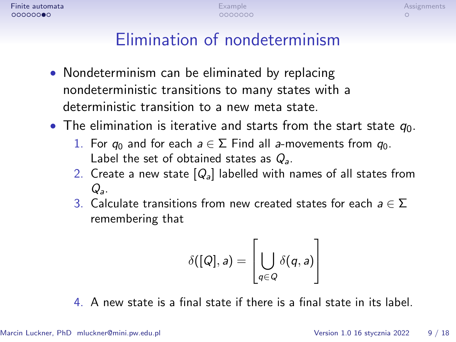# Elimination of nondeterminism

- Nondeterminism can be eliminated by replacing nondeterministic transitions to many states with a deterministic transition to a new meta state.
- The elimination is iterative and starts from the start state  $q_0$ .
	- 1. For  $q_0$  and for each  $a \in \Sigma$  Find all a-movements from  $q_0$ . Label the set of obtained states as  $Q_a$ .
	- 2. Create a new state  $[Q_{a}]$  labelled with names of all states from  $Q_{\rm a}$ .
	- 3. Calculate transitions from new created states for each a *∈* Σ remembering that

$$
\delta([Q],a)=\left[\bigcup_{q\in Q}\delta(q,a)\right]
$$

4. A new state is a final state if there is a final state in its label.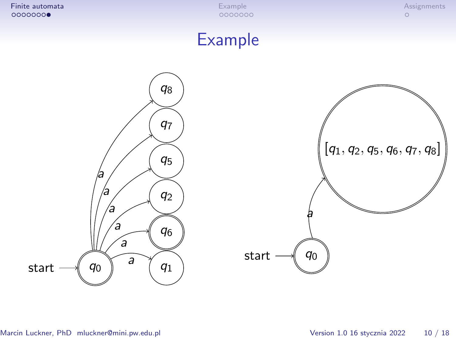## Example



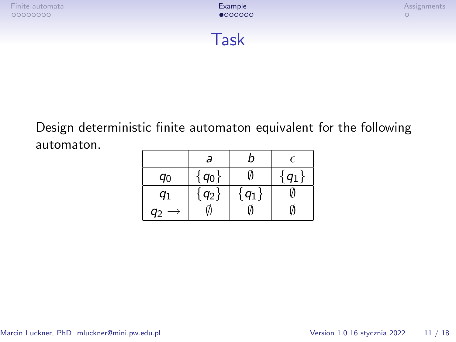

<span id="page-9-0"></span>Design deterministic finite automaton equivalent for the following automaton.

|    | a     | n     | $\epsilon$ |
|----|-------|-------|------------|
| q0 | $q_0$ |       | $q_1$      |
| q1 | $q_2$ | $q_1$ |            |
|    |       |       |            |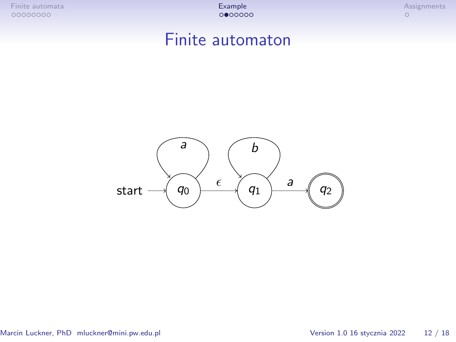#### Finite automaton



Marcin Luckner, PhD mluckner@mini.pw.edu.pl Version 1.0 16 stycznia 2022 12 / 18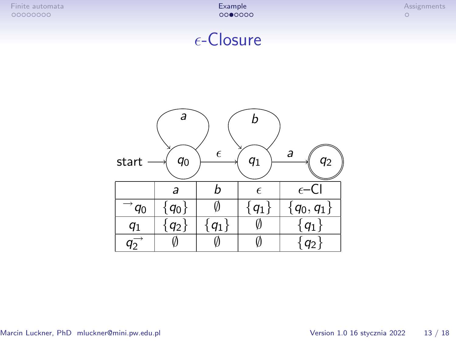## $\epsilon$ -Closure

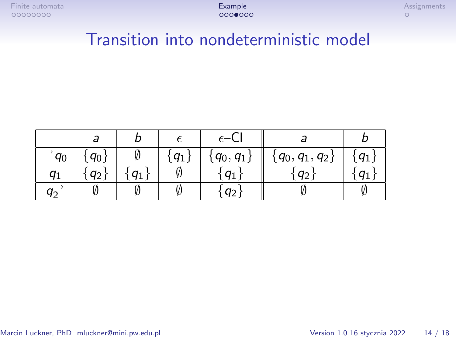# Transition into nondeterministic model

|                           | a       |        |          | $\epsilon$ –Cl |                     |                |
|---------------------------|---------|--------|----------|----------------|---------------------|----------------|
| $q_0$                     | $q_{0}$ |        | $'q_1$ , | $'q_0, q_1$    | $\{q_0, q_1, q_2\}$ | q <sub>1</sub> |
| $q_1$                     | $q_2$   | $'q_1$ |          | $q_1$          | $q_2$               | $q_1$          |
| $q^{\phantom{\dagger}}_2$ |         |        |          | $q_2$          |                     | Ø              |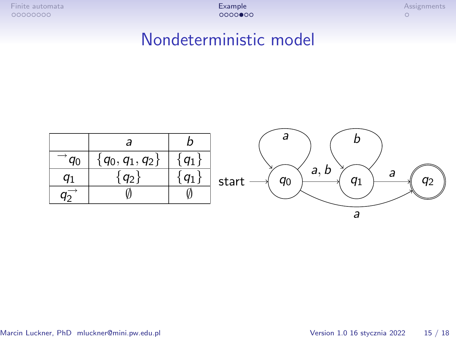### Nondeterministic model

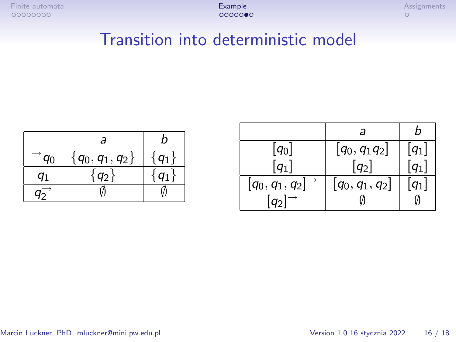# Transition into deterministic model

|                  | а                 | n             |
|------------------|-------------------|---------------|
| $\overline{q_0}$ | $\{q_0,q_1,q_2\}$ | $q_1$         |
| a1               | $q_2$             | $\mathcal{U}$ |
|                  |                   |               |

|                      | а                    | n                    |
|----------------------|----------------------|----------------------|
| $[q_0]$              | $[q_0, q_1 q_2]$     | $\left[ q_1 \right]$ |
| $\left[ q_1 \right]$ | $\left[ q_2 \right]$ | $\left[ q_1 \right]$ |
| $[q_0, q_1, q_2]$    | $[q_0, q_1, q_2]$    | $q_1$                |
| $ q_2 $              |                      |                      |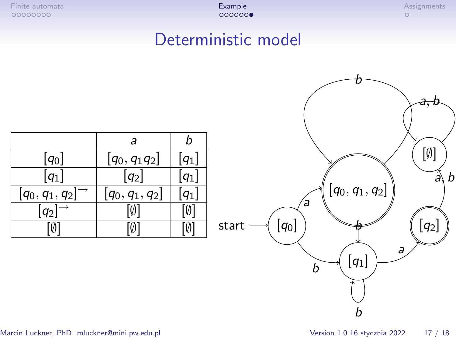## Deterministic model

|                             | а                 |       |
|-----------------------------|-------------------|-------|
| $[q_0]$                     | $[q_0, q_1 q_2]$  | $q_1$ |
| $q_1$                       | $ q_2 $           |       |
| $[q_0,q_1,q_2]^\rightarrow$ | $[q_0, q_1, q_2]$ |       |
| $q_2$                       |                   |       |
|                             |                   | Ø     |